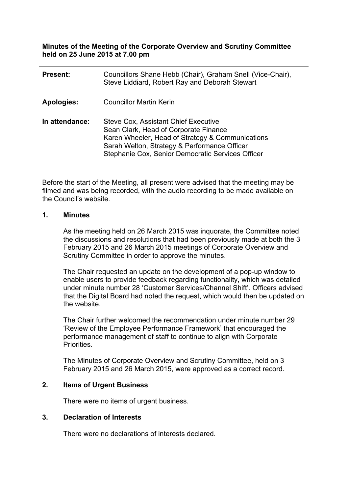**Minutes of the Meeting of the Corporate Overview and Scrutiny Committee held on 25 June 2015 at 7.00 pm**

| <b>Present:</b> | Councillors Shane Hebb (Chair), Graham Snell (Vice-Chair),<br>Steve Liddiard, Robert Ray and Deborah Stewart                                                                                                                           |
|-----------------|----------------------------------------------------------------------------------------------------------------------------------------------------------------------------------------------------------------------------------------|
| Apologies:      | <b>Councillor Martin Kerin</b>                                                                                                                                                                                                         |
| In attendance:  | Steve Cox, Assistant Chief Executive<br>Sean Clark, Head of Corporate Finance<br>Karen Wheeler, Head of Strategy & Communications<br>Sarah Welton, Strategy & Performance Officer<br>Stephanie Cox, Senior Democratic Services Officer |

Before the start of the Meeting, all present were advised that the meeting may be filmed and was being recorded, with the audio recording to be made available on the Council's website.

### **1. Minutes**

As the meeting held on 26 March 2015 was inquorate, the Committee noted the discussions and resolutions that had been previously made at both the 3 February 2015 and 26 March 2015 meetings of Corporate Overview and Scrutiny Committee in order to approve the minutes.

The Chair requested an update on the development of a pop-up window to enable users to provide feedback regarding functionality, which was detailed under minute number 28 'Customer Services/Channel Shift'. Officers advised that the Digital Board had noted the request, which would then be updated on the website.

The Chair further welcomed the recommendation under minute number 29 'Review of the Employee Performance Framework' that encouraged the performance management of staff to continue to align with Corporate Priorities.

The Minutes of Corporate Overview and Scrutiny Committee, held on 3 February 2015 and 26 March 2015, were approved as a correct record.

## **2. Items of Urgent Business**

There were no items of urgent business.

### **3. Declaration of Interests**

There were no declarations of interests declared.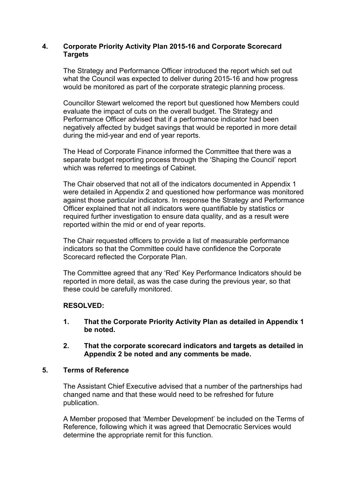## **4. Corporate Priority Activity Plan 2015-16 and Corporate Scorecard Targets**

The Strategy and Performance Officer introduced the report which set out what the Council was expected to deliver during 2015-16 and how progress would be monitored as part of the corporate strategic planning process.

Councillor Stewart welcomed the report but questioned how Members could evaluate the impact of cuts on the overall budget. The Strategy and Performance Officer advised that if a performance indicator had been negatively affected by budget savings that would be reported in more detail during the mid-year and end of year reports.

The Head of Corporate Finance informed the Committee that there was a separate budget reporting process through the 'Shaping the Council' report which was referred to meetings of Cabinet.

The Chair observed that not all of the indicators documented in Appendix 1 were detailed in Appendix 2 and questioned how performance was monitored against those particular indicators. In response the Strategy and Performance Officer explained that not all indicators were quantifiable by statistics or required further investigation to ensure data quality, and as a result were reported within the mid or end of year reports.

The Chair requested officers to provide a list of measurable performance indicators so that the Committee could have confidence the Corporate Scorecard reflected the Corporate Plan.

The Committee agreed that any 'Red' Key Performance Indicators should be reported in more detail, as was the case during the previous year, so that these could be carefully monitored.

## **RESOLVED:**

- **1. That the Corporate Priority Activity Plan as detailed in Appendix 1 be noted.**
- **2. That the corporate scorecard indicators and targets as detailed in Appendix 2 be noted and any comments be made.**

## **5. Terms of Reference**

The Assistant Chief Executive advised that a number of the partnerships had changed name and that these would need to be refreshed for future publication.

A Member proposed that 'Member Development' be included on the Terms of Reference, following which it was agreed that Democratic Services would determine the appropriate remit for this function.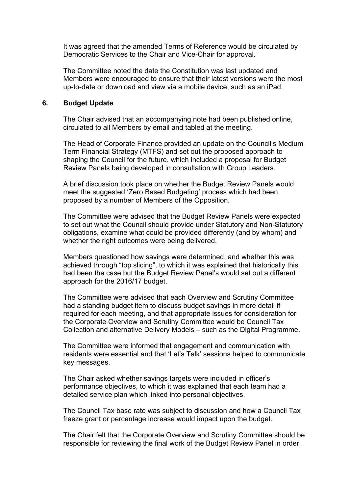It was agreed that the amended Terms of Reference would be circulated by Democratic Services to the Chair and Vice-Chair for approval.

The Committee noted the date the Constitution was last updated and Members were encouraged to ensure that their latest versions were the most up-to-date or download and view via a mobile device, such as an iPad.

#### **6. Budget Update**

The Chair advised that an accompanying note had been published online, circulated to all Members by email and tabled at the meeting.

The Head of Corporate Finance provided an update on the Council's Medium Term Financial Strategy (MTFS) and set out the proposed approach to shaping the Council for the future, which included a proposal for Budget Review Panels being developed in consultation with Group Leaders.

A brief discussion took place on whether the Budget Review Panels would meet the suggested 'Zero Based Budgeting' process which had been proposed by a number of Members of the Opposition.

The Committee were advised that the Budget Review Panels were expected to set out what the Council should provide under Statutory and Non-Statutory obligations, examine what could be provided differently (and by whom) and whether the right outcomes were being delivered.

Members questioned how savings were determined, and whether this was achieved through "top slicing", to which it was explained that historically this had been the case but the Budget Review Panel's would set out a different approach for the 2016/17 budget.

The Committee were advised that each Overview and Scrutiny Committee had a standing budget item to discuss budget savings in more detail if required for each meeting, and that appropriate issues for consideration for the Corporate Overview and Scrutiny Committee would be Council Tax Collection and alternative Delivery Models – such as the Digital Programme.

The Committee were informed that engagement and communication with residents were essential and that 'Let's Talk' sessions helped to communicate key messages.

The Chair asked whether savings targets were included in officer's performance objectives, to which it was explained that each team had a detailed service plan which linked into personal objectives.

The Council Tax base rate was subject to discussion and how a Council Tax freeze grant or percentage increase would impact upon the budget.

The Chair felt that the Corporate Overview and Scrutiny Committee should be responsible for reviewing the final work of the Budget Review Panel in order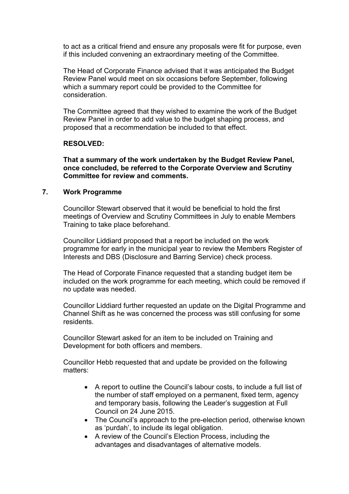to act as a critical friend and ensure any proposals were fit for purpose, even if this included convening an extraordinary meeting of the Committee.

The Head of Corporate Finance advised that it was anticipated the Budget Review Panel would meet on six occasions before September, following which a summary report could be provided to the Committee for consideration.

The Committee agreed that they wished to examine the work of the Budget Review Panel in order to add value to the budget shaping process, and proposed that a recommendation be included to that effect.

### **RESOLVED:**

**That a summary of the work undertaken by the Budget Review Panel, once concluded, be referred to the Corporate Overview and Scrutiny Committee for review and comments.**

### **7. Work Programme**

Councillor Stewart observed that it would be beneficial to hold the first meetings of Overview and Scrutiny Committees in July to enable Members Training to take place beforehand.

Councillor Liddiard proposed that a report be included on the work programme for early in the municipal year to review the Members Register of Interests and DBS (Disclosure and Barring Service) check process.

The Head of Corporate Finance requested that a standing budget item be included on the work programme for each meeting, which could be removed if no update was needed.

Councillor Liddiard further requested an update on the Digital Programme and Channel Shift as he was concerned the process was still confusing for some residents.

Councillor Stewart asked for an item to be included on Training and Development for both officers and members.

Councillor Hebb requested that and update be provided on the following matters:

- A report to outline the Council's labour costs, to include a full list of the number of staff employed on a permanent, fixed term, agency and temporary basis, following the Leader's suggestion at Full Council on 24 June 2015.
- The Council's approach to the pre-election period, otherwise known as 'purdah', to include its legal obligation.
- A review of the Council's Election Process, including the advantages and disadvantages of alternative models.